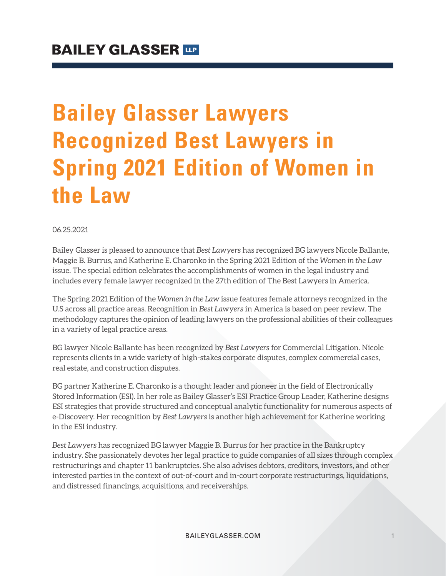## **Bailey Glasser Lawyers Recognized Best Lawyers in Spring 2021 Edition of Women in the Law**

06.25.2021

Bailey Glasser is pleased to announce that *Best Lawyers* has recognized BG lawyers Nicole Ballante, Maggie B. Burrus, and Katherine E. Charonko in the Spring 2021 Edition of the *Women in the Law* issue*.* The special edition celebrates the accomplishments of women in the legal industry and includes every female lawyer recognized in the 27th edition of The Best Lawyers in America.

The Spring 2021 Edition of the *Women in the Law* issue features female attorneys recognized in the U.S across all practice areas. Recognition in *Best Lawyers* in America is based on peer review. The methodology captures the opinion of leading lawyers on the professional abilities of their colleagues in a variety of legal practice areas.

BG lawyer Nicole Ballante has been recognized by *Best Lawyers* for Commercial Litigation. Nicole represents clients in a wide variety of high-stakes corporate disputes, complex commercial cases, real estate, and construction disputes.

BG partner Katherine E. Charonko is a thought leader and pioneer in the field of Electronically Stored Information (ESI). In her role as Bailey Glasser's ESI Practice Group Leader, Katherine designs ESI strategies that provide structured and conceptual analytic functionality for numerous aspects of e-Discovery. Her recognition by *Best Lawyers* is another high achievement for Katherine working in the ESI industry.

*Best Lawyers* has recognized BG lawyer Maggie B. Burrus for her practice in the Bankruptcy industry. She passionately devotes her legal practice to guide companies of all sizes through complex restructurings and chapter 11 bankruptcies. She also advises debtors, creditors, investors, and other interested parties in the context of out-of-court and in-court corporate restructurings, liquidations, and distressed financings, acquisitions, and receiverships.